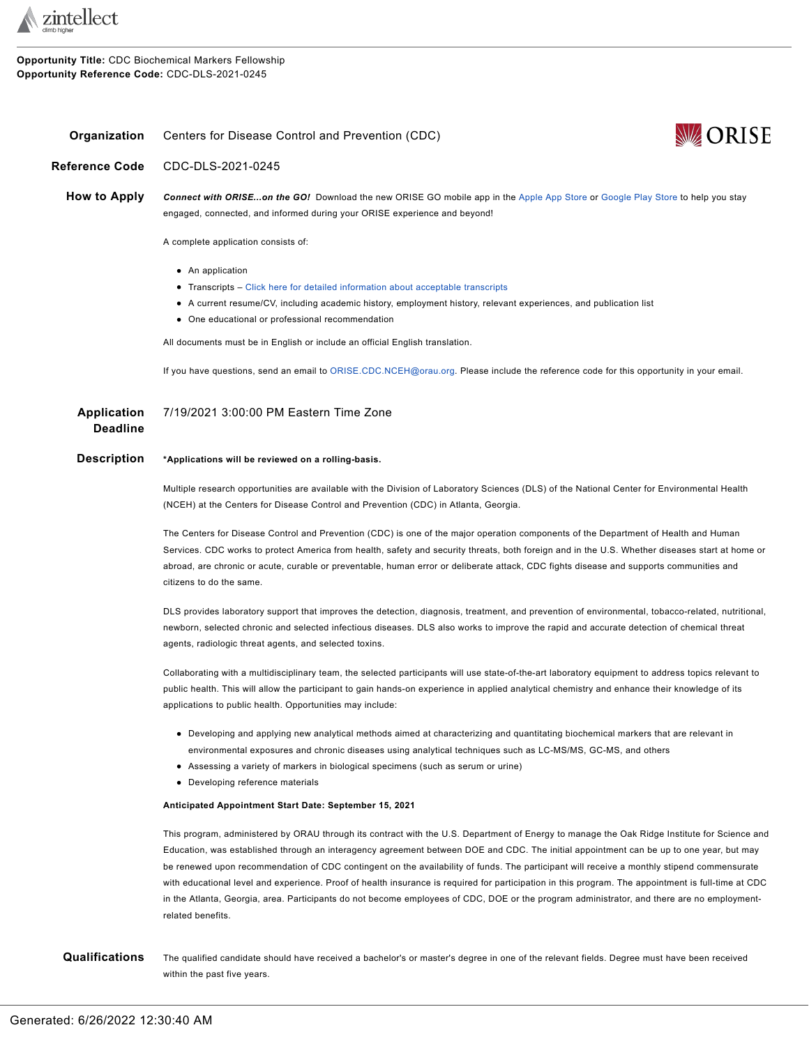

**Opportunity Title:** CDC Biochemical Markers Fellowship **Opportunity Reference Code:** CDC-DLS-2021-0245

## <span id="page-0-0"></span>**Organization** Centers for Disease Control and Prevention (CDC)



**Reference Code** CDC-DLS-2021-0245

**How to Apply** *Connect with ORISE...on the GO!* Download the new ORISE GO mobile app in the [Apple](https://apps.apple.com/us/app/orise-go/id1491975263) App Store or [Google](https://play.google.com/store/apps/details?id=org.orau.ima.orisego&hl=en_US) Play Store to help you stay engaged, connected, and informed during your ORISE experience and beyond!

A complete application consists of:

- An application
- Transcripts Click here for detailed [information](http://orise.orau.gov/sepreview/transcripts.html) about acceptable transcripts
- A current resume/CV, including academic history, employment history, relevant experiences, and publication list
- One educational or professional recommendation

All documents must be in English or include an official English translation.

If you have questions, send an email to [ORISE.CDC.NCEH@orau.org](mailto:ORISE.CDC.CGH@orau.org). Please include the reference code for this opportunity in your email.

| Application | 7/19/2021 3:00:00 PM Eastern Time Zone |
|-------------|----------------------------------------|
| Deadline    |                                        |

## **Description \*Applications will be reviewed on a rolling-basis.**

Multiple research opportunities are available with the Division of Laboratory Sciences (DLS) of the National Center for Environmental Health (NCEH) at the Centers for Disease Control and Prevention (CDC) in Atlanta, Georgia.

The Centers for Disease Control and Prevention (CDC) is one of the major operation components of the Department of Health and Human Services. CDC works to protect America from health, safety and security threats, both foreign and in the U.S. Whether diseases start at home or abroad, are chronic or acute, curable or preventable, human error or deliberate attack, CDC fights disease and supports communities and citizens to do the same.

DLS provides laboratory support that improves the detection, diagnosis, treatment, and prevention of environmental, tobacco-related, nutritional, newborn, selected chronic and selected infectious diseases. DLS also works to improve the rapid and accurate detection of chemical threat agents, radiologic threat agents, and selected toxins.

Collaborating with a multidisciplinary team, the selected participants will use state-of-the-art laboratory equipment to address topics relevant to public health. This will allow the participant to gain hands-on experience in applied analytical chemistry and enhance their knowledge of its applications to public health. Opportunities may include:

- Developing and applying new analytical methods aimed at characterizing and quantitating biochemical markers that are relevant in environmental exposures and chronic diseases using analytical techniques such as LC-MS/MS, GC-MS, and others
- Assessing a variety of markers in biological specimens (such as serum or urine)
- Developing reference materials

## **Anticipated Appointment Start Date: September 15, 2021**

This program, administered by ORAU through its contract with the U.S. Department of Energy to manage the Oak Ridge Institute for Science and Education, was established through an interagency agreement between DOE and CDC. The initial appointment can be up to one year, but may be renewed upon recommendation of CDC contingent on the availability of funds. The participant will receive a monthly stipend commensurate with educational level and experience. Proof of health insurance is required for participation in this program. The appointment is full-time at CDC in the Atlanta, Georgia, area. Participants do not become employees of CDC, DOE or the program administrator, and there are no employmentrelated benefits.

## **Qualifications** The qualified candidate should have received a bachelor's or master's degree in one of the relevant fields. Degree must have been received within the past five years.